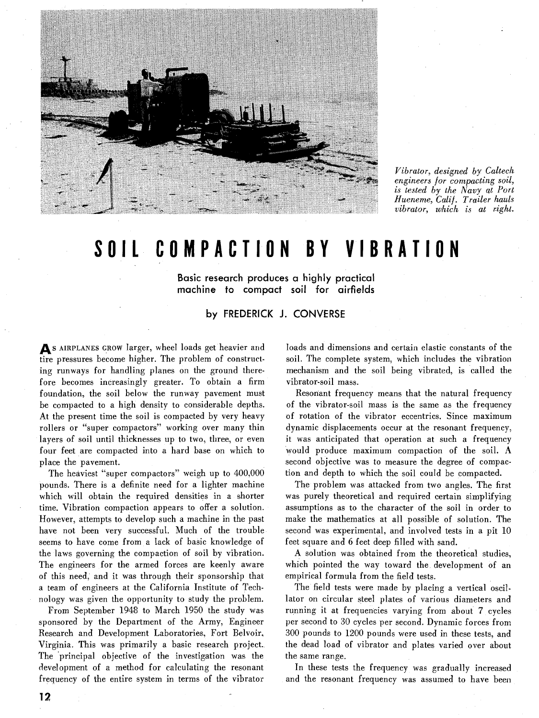

Vibrator, designed *by* Caltech engineers for compacting soil, is tested *by* the Navy at Port Hueneme, Calif. Trailer hauls vibrator, which is at right.

## **SOIL COMPACTION BY VIBRATION**

**Basic research produces a highly practical machine to compact soil for airfields** 

**by FREDERICK J. CONVERSE** 

As **AIRPLANES GROW** larger, wheel loads get heavier and tire pressures become higher. The problem of constructing runways for handling planes on the ground therefore becomes increasingly greater. To obtain a firm foundation, the soil below the runway pavement must be compacted to a high density to considerable depths. At the present time the soil is compacted by very heavy rollers or "super compactors" working over many thin layers of soil until thicknesses up to two, three, or even four feet are compacted into a hard base on which to place the pavement.

The heaviest "super compactors" weigh up to 400,000 pounds. There is a definite need for a lighter machine which will obtain the required densities in a shorter time. Vibration compaction appears to offer a solution. However, attempts to develop such a machine in the past have not been very successful. Much of the trouble seems to have come from a lack of basic knowledge of the laws governing the compaction of soil by vibration. The engineers for the armed forces are keenly aware of this need, and it was through their sponsorship that a team of engineers at the California Institute of Technology was given the opportunity to study the problem.

From September 1948 to March 1950 the study was sponsored by the Department of the Army, Engineer Research and Development Laboratories, Fort Belvoir, Virginia. This was primarily a basic research project. The principal objective of the investigation was the development of a method for calculating the resonant frequency of the entire system in terms of the vibrator

loads and dimensions and certain elastic constants of the soil. The complete system, which includes the vibration mechanism and the soil being vibrated, is called the vibrator-soil mass.

Resonant frequency means that the natural frequency of the vibrator-soil mass is the same as the frequency of rotation of the vibrator eccentrics. Since maximum dynamic displacements occur at the resonant frequency, it was anticipated that operation at such a frequency would produce maximum compaction of the soil. **A**  second objective was to measure the degree of compaction and depth to which the soil could be compacted.

The problem was attacked from two angles. The first was purely theoretical and required certain simplifying assumptions as to the character of the soil in order to make the mathematics at all possible of solution. The second was experimental, and involved tests in a pit 10 feet square and 6 feet deep filled with sand.

A solution was obtained from the theoretical studies, which pointed the way toward the development of an empirical formula from the field tests.

The field tests were made by placing a vertical oscillator on circular steel plates of various diameters and running it at frequencies varying from about 7 cycles per second to 30 cycles per second. Dynamic forces from 300 pounds to 1200 pounds were used in these tests, and the dead load of vibrator and plates varied over about the same range.

In these tests the frequency was gradually increased and the resonant frequency was assumed to have been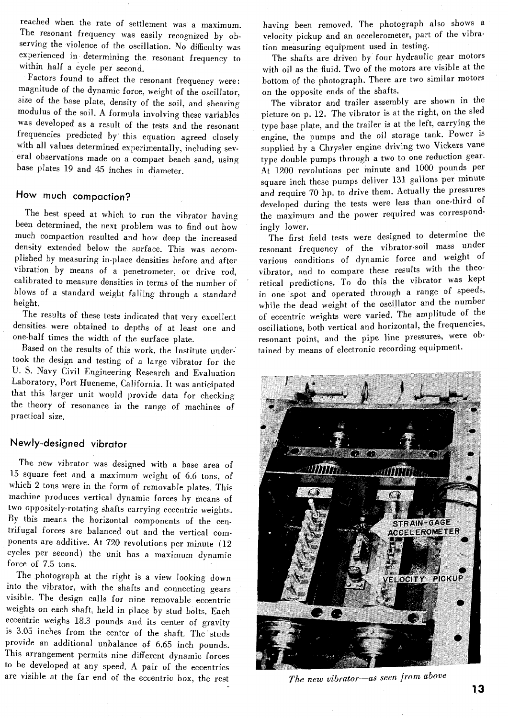reached when the rate of settlement was a maximum. The resonant frequency was easily recognized by observing the violence of the oscillation. No difficulty was experienced in determining the resonant frequency to within half a cycle per second.

Factors found to affect the resonant frequency were: magnitude of the dynamic force, weight of the oscillator, size of the base plate, density of the soil, and shearing modulus of the soil. A formula involving these variables was developed as a result of the tests and the resonant frequencies predicted by this equation agreed closely with all values determined experimentally, including several observations made on a compact beach sand, using base plates 19 and 45 inches in diameter.

## **How much compaction?**

The best speed at which to run the vibrator having been determined, the next problem was to find out how much compaction resulted and how deep the increased density extended below the surface. This was accomplished by measuring in-place densities before and after vibration by means of a penetrometer, or drive rod, calibrated to measure densities in terms of the number of blows of a standard weight falling through a standard height.

The results of these tests indicated that very excellent densities were obtained to depths of at least one and one-half times the width of the surface plate.

Based on the results of this work, the Institute undertook the design and testing of a large vibrator for the U. S. Navy Civil Engineering Research and Evaluation Laboratory, Port Hueneme, California. It was anticipated that this larger unit would provide data for checking the theory of resonance in the range of machines of practical size.

## **Newly-designed vibrator**

The new vibrator was designed with a base area of 15 square feet and a maximum weight of 6.6 tons, of which 2 tons were in the form of removable plates. This machine produces vertical dynamic forces by means of two oppositely-rotating shafts carrying eccentric weights. Dy this means the horizontal components of the centrifugal forces are balanced out and the vertical components are additive. At 720 revolutions per minute (12 cycles per second) the unit has a maximum dynamic force of 7.5 tons.

The photograph at the right is a view looking down into the vibrator, with the shafts and connecting gears visible. The design calls for nine removable eccentric weights on each shaft, held in place by stud bolts. Each eccentric weighs 18.3 pounds and its center of gravity is 3.05 inches from the center of the shaft. The studs provide an additional unbalance of 6.65 inch pounds. This arrangement permits nine different dynamic forces to be developed at any speed. A pair of the eccentrics are visible at the far end of the eccentric box, the rest

having been removed. The photograph also shows a velocity pickup and an accelerometer, part of the vibration measuring equipment used in testing.

The shafts are driven by four hydraulic gear motors with oil as the fluid. Two of the motors are visible at the bottom of the photograph. There are two similar motors on the opposite ends of the shafts.

The vibrator and trailer assembly are shown in the picture on p. 12. The vibrator is at the right, on the sled type base plate, and the trailer is at the left, carrying the engine, the pumps and the oil storage tank. Power is supplied by a Chrysler engine driving two Vickers vane type double pumps through a two to one reduction gear. At 1200 revolutions per minute and 1000 pounds per square inch these pumps deliver 131 gallons per minute and require 70 hp. to drive them. Actually the pressures developed during the tests were less than one-third of the maximum and the power required was correspondingly lower.

The first field tests were designed to determine the resonant frequency of the vibrator-soil mass under various conditions of dynamic force and weight of vibrator, and to compare these results with the theoretical predictions. To do this the vibrator was kept in one spot and operated through a range of speeds, while the dead weight of the oscillator and the number of eccentric weights were varied. The amplitude of the oscillations, both vertical and horizontal, the frequencies, resonant point., and the pipe line pressures, were obtained by means of electronic recording equipment.



*The new vibrator-as seen from above*